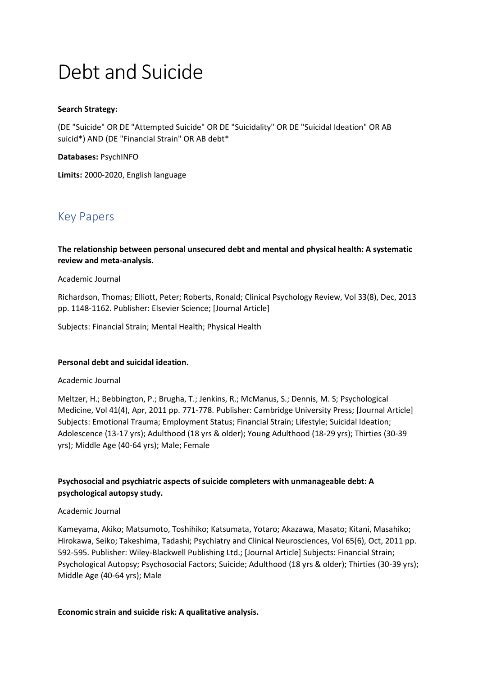# Debt and Suicide

## **Search Strategy:**

(DE "Suicide" OR DE "Attempted Suicide" OR DE "Suicidality" OR DE "Suicidal Ideation" OR AB suicid\*) AND (DE "Financial Strain" OR AB debt\*

## **Databases:** PsychINFO

**Limits:** 2000-2020, English language

# Key Papers

**The relationship between personal unsecured debt and mental and physical health: A systematic review and meta-analysis.**

## Academic Journal

Richardson, Thomas; Elliott, Peter; Roberts, Ronald; Clinical Psychology Review, Vol 33(8), Dec, 2013 pp. 1148-1162. Publisher: Elsevier Science; [Journal Article]

Subjects: Financial Strain; Mental Health; Physical Health

## **Personal debt and suicidal ideation.**

## Academic Journal

Meltzer, H.; Bebbington, P.; Brugha, T.; Jenkins, R.; McManus, S.; Dennis, M. S; Psychological Medicine, Vol 41(4), Apr, 2011 pp. 771-778. Publisher: Cambridge University Press; [Journal Article] Subjects: Emotional Trauma; Employment Status; Financial Strain; Lifestyle; Suicidal Ideation; Adolescence (13-17 yrs); Adulthood (18 yrs & older); Young Adulthood (18-29 yrs); Thirties (30-39 yrs); Middle Age (40-64 yrs); Male; Female

# **Psychosocial and psychiatric aspects of suicide completers with unmanageable debt: A psychological autopsy study.**

## Academic Journal

Kameyama, Akiko; Matsumoto, Toshihiko; Katsumata, Yotaro; Akazawa, Masato; Kitani, Masahiko; Hirokawa, Seiko; Takeshima, Tadashi; Psychiatry and Clinical Neurosciences, Vol 65(6), Oct, 2011 pp. 592-595. Publisher: Wiley-Blackwell Publishing Ltd.; [Journal Article] Subjects: Financial Strain; Psychological Autopsy; Psychosocial Factors; Suicide; Adulthood (18 yrs & older); Thirties (30-39 yrs); Middle Age (40-64 yrs); Male

**Economic strain and suicide risk: A qualitative analysis.**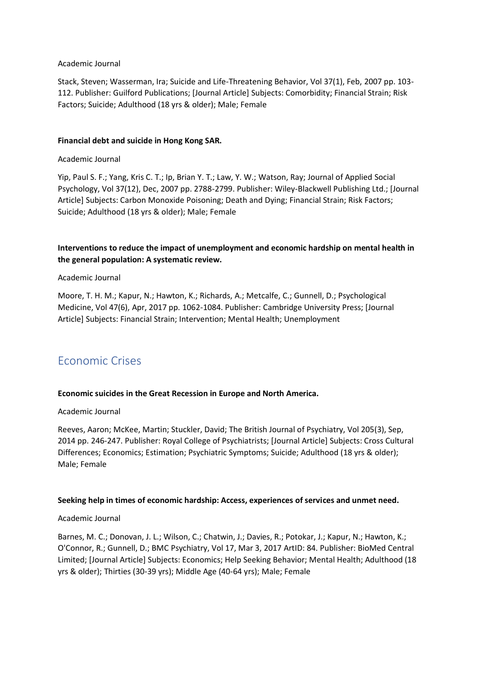## Academic Journal

Stack, Steven; Wasserman, Ira; Suicide and Life-Threatening Behavior, Vol 37(1), Feb, 2007 pp. 103- 112. Publisher: Guilford Publications; [Journal Article] Subjects: Comorbidity; Financial Strain; Risk Factors; Suicide; Adulthood (18 yrs & older); Male; Female

## **Financial debt and suicide in Hong Kong SAR.**

## Academic Journal

Yip, Paul S. F.; Yang, Kris C. T.; Ip, Brian Y. T.; Law, Y. W.; Watson, Ray; Journal of Applied Social Psychology, Vol 37(12), Dec, 2007 pp. 2788-2799. Publisher: Wiley-Blackwell Publishing Ltd.; [Journal Article] Subjects: Carbon Monoxide Poisoning; Death and Dying; Financial Strain; Risk Factors; Suicide; Adulthood (18 yrs & older); Male; Female

## **Interventions to reduce the impact of unemployment and economic hardship on mental health in the general population: A systematic review.**

## Academic Journal

Moore, T. H. M.; Kapur, N.; Hawton, K.; Richards, A.; Metcalfe, C.; Gunnell, D.; Psychological Medicine, Vol 47(6), Apr, 2017 pp. 1062-1084. Publisher: Cambridge University Press; [Journal Article] Subjects: Financial Strain; Intervention; Mental Health; Unemployment

# Economic Crises

## **Economic suicides in the Great Recession in Europe and North America.**

## Academic Journal

Reeves, Aaron; McKee, Martin; Stuckler, David; The British Journal of Psychiatry, Vol 205(3), Sep, 2014 pp. 246-247. Publisher: Royal College of Psychiatrists; [Journal Article] Subjects: Cross Cultural Differences; Economics; Estimation; Psychiatric Symptoms; Suicide; Adulthood (18 yrs & older); Male; Female

## **Seeking help in times of economic hardship: Access, experiences of services and unmet need.**

## Academic Journal

Barnes, M. C.; Donovan, J. L.; Wilson, C.; Chatwin, J.; Davies, R.; Potokar, J.; Kapur, N.; Hawton, K.; O'Connor, R.; Gunnell, D.; BMC Psychiatry, Vol 17, Mar 3, 2017 ArtID: 84. Publisher: BioMed Central Limited; [Journal Article] Subjects: Economics; Help Seeking Behavior; Mental Health; Adulthood (18 yrs & older); Thirties (30-39 yrs); Middle Age (40-64 yrs); Male; Female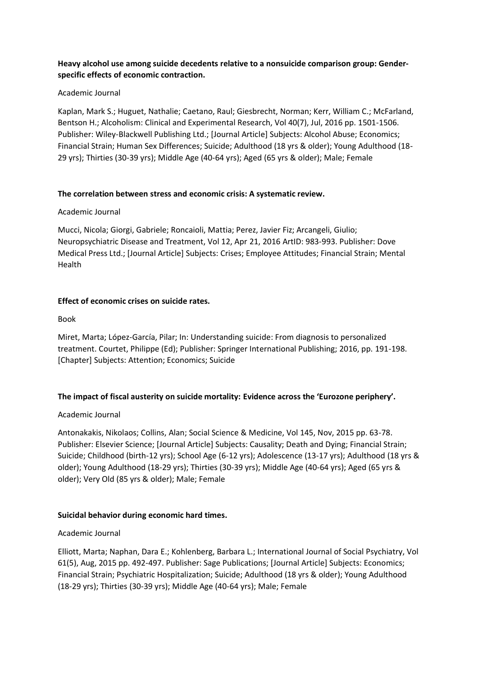## **Heavy alcohol use among suicide decedents relative to a nonsuicide comparison group: Gender‐ specific effects of economic contraction.**

## Academic Journal

Kaplan, Mark S.; Huguet, Nathalie; Caetano, Raul; Giesbrecht, Norman; Kerr, William C.; McFarland, Bentson H.; Alcoholism: Clinical and Experimental Research, Vol 40(7), Jul, 2016 pp. 1501-1506. Publisher: Wiley-Blackwell Publishing Ltd.; [Journal Article] Subjects: Alcohol Abuse; Economics; Financial Strain; Human Sex Differences; Suicide; Adulthood (18 yrs & older); Young Adulthood (18- 29 yrs); Thirties (30-39 yrs); Middle Age (40-64 yrs); Aged (65 yrs & older); Male; Female

## **The correlation between stress and economic crisis: A systematic review.**

## Academic Journal

Mucci, Nicola; Giorgi, Gabriele; Roncaioli, Mattia; Perez, Javier Fiz; Arcangeli, Giulio; Neuropsychiatric Disease and Treatment, Vol 12, Apr 21, 2016 ArtID: 983-993. Publisher: Dove Medical Press Ltd.; [Journal Article] Subjects: Crises; Employee Attitudes; Financial Strain; Mental Health

## **Effect of economic crises on suicide rates.**

## Book

Miret, Marta; López-García, Pilar; In: Understanding suicide: From diagnosis to personalized treatment. Courtet, Philippe (Ed); Publisher: Springer International Publishing; 2016, pp. 191-198. [Chapter] Subjects: Attention; Economics; Suicide

## **The impact of fiscal austerity on suicide mortality: Evidence across the 'Eurozone periphery'.**

## Academic Journal

Antonakakis, Nikolaos; Collins, Alan; Social Science & Medicine, Vol 145, Nov, 2015 pp. 63-78. Publisher: Elsevier Science; [Journal Article] Subjects: Causality; Death and Dying; Financial Strain; Suicide; Childhood (birth-12 yrs); School Age (6-12 yrs); Adolescence (13-17 yrs); Adulthood (18 yrs & older); Young Adulthood (18-29 yrs); Thirties (30-39 yrs); Middle Age (40-64 yrs); Aged (65 yrs & older); Very Old (85 yrs & older); Male; Female

## **Suicidal behavior during economic hard times.**

## Academic Journal

Elliott, Marta; Naphan, Dara E.; Kohlenberg, Barbara L.; International Journal of Social Psychiatry, Vol 61(5), Aug, 2015 pp. 492-497. Publisher: Sage Publications; [Journal Article] Subjects: Economics; Financial Strain; Psychiatric Hospitalization; Suicide; Adulthood (18 yrs & older); Young Adulthood (18-29 yrs); Thirties (30-39 yrs); Middle Age (40-64 yrs); Male; Female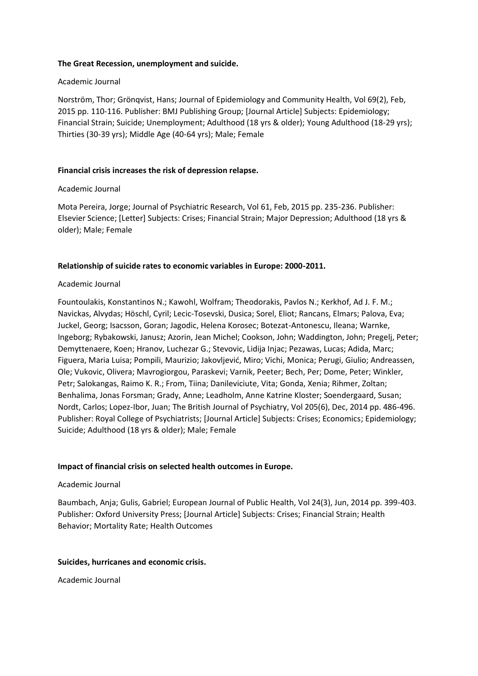## **The Great Recession, unemployment and suicide.**

#### Academic Journal

Norström, Thor; Grönqvist, Hans; Journal of Epidemiology and Community Health, Vol 69(2), Feb, 2015 pp. 110-116. Publisher: BMJ Publishing Group; [Journal Article] Subjects: Epidemiology; Financial Strain; Suicide; Unemployment; Adulthood (18 yrs & older); Young Adulthood (18-29 yrs); Thirties (30-39 yrs); Middle Age (40-64 yrs); Male; Female

#### **Financial crisis increases the risk of depression relapse.**

#### Academic Journal

Mota Pereira, Jorge; Journal of Psychiatric Research, Vol 61, Feb, 2015 pp. 235-236. Publisher: Elsevier Science; [Letter] Subjects: Crises; Financial Strain; Major Depression; Adulthood (18 yrs & older); Male; Female

#### **Relationship of suicide rates to economic variables in Europe: 2000-2011.**

#### Academic Journal

Fountoulakis, Konstantinos N.; Kawohl, Wolfram; Theodorakis, Pavlos N.; Kerkhof, Ad J. F. M.; Navickas, Alvydas; Höschl, Cyril; Lecic-Tosevski, Dusica; Sorel, Eliot; Rancans, Elmars; Palova, Eva; Juckel, Georg; Isacsson, Goran; Jagodic, Helena Korosec; Botezat-Antonescu, Ileana; Warnke, Ingeborg; Rybakowski, Janusz; Azorin, Jean Michel; Cookson, John; Waddington, John; Pregelj, Peter; Demyttenaere, Koen; Hranov, Luchezar G.; Stevovic, Lidija Injac; Pezawas, Lucas; Adida, Marc; Figuera, Maria Luisa; Pompili, Maurizio; Jakovljević, Miro; Vichi, Monica; Perugi, Giulio; Andreassen, Ole; Vukovic, Olivera; Mavrogiorgou, Paraskevi; Varnik, Peeter; Bech, Per; Dome, Peter; Winkler, Petr; Salokangas, Raimo K. R.; From, Tiina; Danileviciute, Vita; Gonda, Xenia; Rihmer, Zoltan; Benhalima, Jonas Forsman; Grady, Anne; Leadholm, Anne Katrine Kloster; Soendergaard, Susan; Nordt, Carlos; Lopez-Ibor, Juan; The British Journal of Psychiatry, Vol 205(6), Dec, 2014 pp. 486-496. Publisher: Royal College of Psychiatrists; [Journal Article] Subjects: Crises; Economics; Epidemiology; Suicide; Adulthood (18 yrs & older); Male; Female

#### **Impact of financial crisis on selected health outcomes in Europe.**

#### Academic Journal

Baumbach, Anja; Gulis, Gabriel; European Journal of Public Health, Vol 24(3), Jun, 2014 pp. 399-403. Publisher: Oxford University Press; [Journal Article] Subjects: Crises; Financial Strain; Health Behavior; Mortality Rate; Health Outcomes

#### **Suicides, hurricanes and economic crisis.**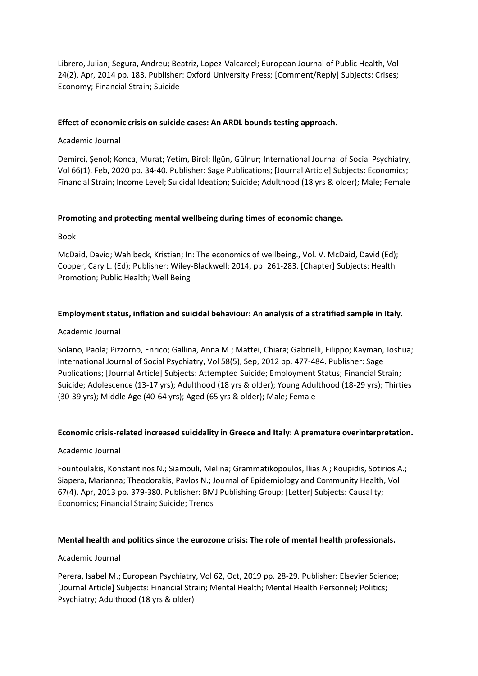Librero, Julian; Segura, Andreu; Beatriz, Lopez-Valcarcel; European Journal of Public Health, Vol 24(2), Apr, 2014 pp. 183. Publisher: Oxford University Press; [Comment/Reply] Subjects: Crises; Economy; Financial Strain; Suicide

## **Effect of economic crisis on suicide cases: An ARDL bounds testing approach.**

## Academic Journal

Demirci, Şenol; Konca, Murat; Yetim, Birol; İlgün, Gülnur; International Journal of Social Psychiatry, Vol 66(1), Feb, 2020 pp. 34-40. Publisher: Sage Publications; [Journal Article] Subjects: Economics; Financial Strain; Income Level; Suicidal Ideation; Suicide; Adulthood (18 yrs & older); Male; Female

## **Promoting and protecting mental wellbeing during times of economic change.**

Book

McDaid, David; Wahlbeck, Kristian; In: The economics of wellbeing., Vol. V. McDaid, David (Ed); Cooper, Cary L. (Ed); Publisher: Wiley-Blackwell; 2014, pp. 261-283. [Chapter] Subjects: Health Promotion; Public Health; Well Being

## **Employment status, inflation and suicidal behaviour: An analysis of a stratified sample in Italy.**

## Academic Journal

Solano, Paola; Pizzorno, Enrico; Gallina, Anna M.; Mattei, Chiara; Gabrielli, Filippo; Kayman, Joshua; International Journal of Social Psychiatry, Vol 58(5), Sep, 2012 pp. 477-484. Publisher: Sage Publications; [Journal Article] Subjects: Attempted Suicide; Employment Status; Financial Strain; Suicide; Adolescence (13-17 yrs); Adulthood (18 yrs & older); Young Adulthood (18-29 yrs); Thirties (30-39 yrs); Middle Age (40-64 yrs); Aged (65 yrs & older); Male; Female

## **Economic crisis-related increased suicidality in Greece and Italy: A premature overinterpretation.**

## Academic Journal

Fountoulakis, Konstantinos N.; Siamouli, Melina; Grammatikopoulos, llias A.; Koupidis, Sotirios A.; Siapera, Marianna; Theodorakis, Pavlos N.; Journal of Epidemiology and Community Health, Vol 67(4), Apr, 2013 pp. 379-380. Publisher: BMJ Publishing Group; [Letter] Subjects: Causality; Economics; Financial Strain; Suicide; Trends

## **Mental health and politics since the eurozone crisis: The role of mental health professionals.**

## Academic Journal

Perera, Isabel M.; European Psychiatry, Vol 62, Oct, 2019 pp. 28-29. Publisher: Elsevier Science; [Journal Article] Subjects: Financial Strain; Mental Health; Mental Health Personnel; Politics; Psychiatry; Adulthood (18 yrs & older)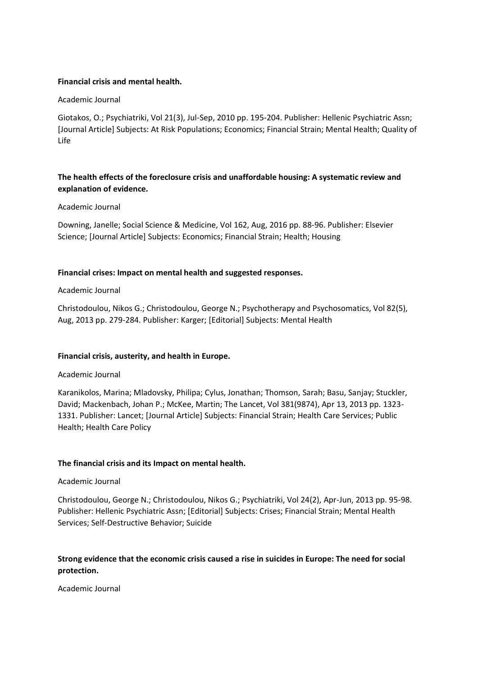## **Financial crisis and mental health.**

## Academic Journal

Giotakos, O.; Psychiatriki, Vol 21(3), Jul-Sep, 2010 pp. 195-204. Publisher: Hellenic Psychiatric Assn; [Journal Article] Subjects: At Risk Populations; Economics; Financial Strain; Mental Health; Quality of Life

# **The health effects of the foreclosure crisis and unaffordable housing: A systematic review and explanation of evidence.**

## Academic Journal

Downing, Janelle; Social Science & Medicine, Vol 162, Aug, 2016 pp. 88-96. Publisher: Elsevier Science; [Journal Article] Subjects: Economics; Financial Strain; Health; Housing

## **Financial crises: Impact on mental health and suggested responses.**

## Academic Journal

Christodoulou, Nikos G.; Christodoulou, George N.; Psychotherapy and Psychosomatics, Vol 82(5), Aug, 2013 pp. 279-284. Publisher: Karger; [Editorial] Subjects: Mental Health

## **Financial crisis, austerity, and health in Europe.**

## Academic Journal

Karanikolos, Marina; Mladovsky, Philipa; Cylus, Jonathan; Thomson, Sarah; Basu, Sanjay; Stuckler, David; Mackenbach, Johan P.; McKee, Martin; The Lancet, Vol 381(9874), Apr 13, 2013 pp. 1323- 1331. Publisher: Lancet; [Journal Article] Subjects: Financial Strain; Health Care Services; Public Health; Health Care Policy

## **The financial crisis and its Impact on mental health.**

## Academic Journal

Christodoulou, George N.; Christodoulou, Nikos G.; Psychiatriki, Vol 24(2), Apr-Jun, 2013 pp. 95-98. Publisher: Hellenic Psychiatric Assn; [Editorial] Subjects: Crises; Financial Strain; Mental Health Services; Self-Destructive Behavior; Suicide

# **Strong evidence that the economic crisis caused a rise in suicides in Europe: The need for social protection.**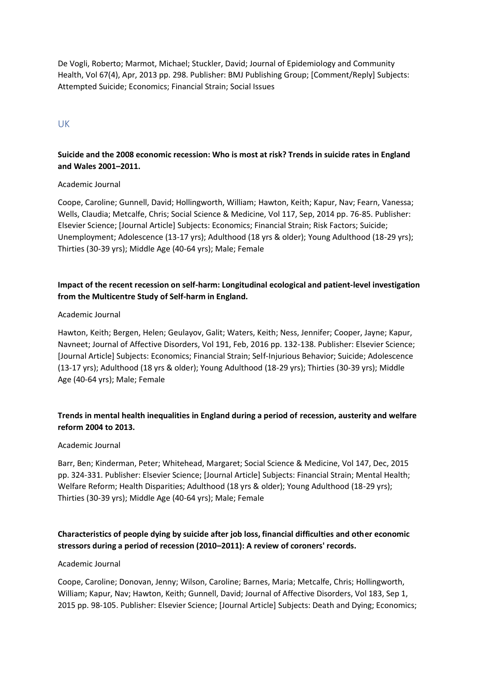De Vogli, Roberto; Marmot, Michael; Stuckler, David; Journal of Epidemiology and Community Health, Vol 67(4), Apr, 2013 pp. 298. Publisher: BMJ Publishing Group; [Comment/Reply] Subjects: Attempted Suicide; Economics; Financial Strain; Social Issues

# UK

## **Suicide and the 2008 economic recession: Who is most at risk? Trends in suicide rates in England and Wales 2001–2011.**

## Academic Journal

Coope, Caroline; Gunnell, David; Hollingworth, William; Hawton, Keith; Kapur, Nav; Fearn, Vanessa; Wells, Claudia; Metcalfe, Chris; Social Science & Medicine, Vol 117, Sep, 2014 pp. 76-85. Publisher: Elsevier Science; [Journal Article] Subjects: Economics; Financial Strain; Risk Factors; Suicide; Unemployment; Adolescence (13-17 yrs); Adulthood (18 yrs & older); Young Adulthood (18-29 yrs); Thirties (30-39 yrs); Middle Age (40-64 yrs); Male; Female

# **Impact of the recent recession on self-harm: Longitudinal ecological and patient-level investigation from the Multicentre Study of Self-harm in England.**

#### Academic Journal

Hawton, Keith; Bergen, Helen; Geulayov, Galit; Waters, Keith; Ness, Jennifer; Cooper, Jayne; Kapur, Navneet; Journal of Affective Disorders, Vol 191, Feb, 2016 pp. 132-138. Publisher: Elsevier Science; [Journal Article] Subjects: Economics; Financial Strain; Self-Injurious Behavior; Suicide; Adolescence (13-17 yrs); Adulthood (18 yrs & older); Young Adulthood (18-29 yrs); Thirties (30-39 yrs); Middle Age (40-64 yrs); Male; Female

## **Trends in mental health inequalities in England during a period of recession, austerity and welfare reform 2004 to 2013.**

#### Academic Journal

Barr, Ben; Kinderman, Peter; Whitehead, Margaret; Social Science & Medicine, Vol 147, Dec, 2015 pp. 324-331. Publisher: Elsevier Science; [Journal Article] Subjects: Financial Strain; Mental Health; Welfare Reform; Health Disparities; Adulthood (18 yrs & older); Young Adulthood (18-29 yrs); Thirties (30-39 yrs); Middle Age (40-64 yrs); Male; Female

# **Characteristics of people dying by suicide after job loss, financial difficulties and other economic stressors during a period of recession (2010–2011): A review of coroners' records.**

#### Academic Journal

Coope, Caroline; Donovan, Jenny; Wilson, Caroline; Barnes, Maria; Metcalfe, Chris; Hollingworth, William; Kapur, Nav; Hawton, Keith; Gunnell, David; Journal of Affective Disorders, Vol 183, Sep 1, 2015 pp. 98-105. Publisher: Elsevier Science; [Journal Article] Subjects: Death and Dying; Economics;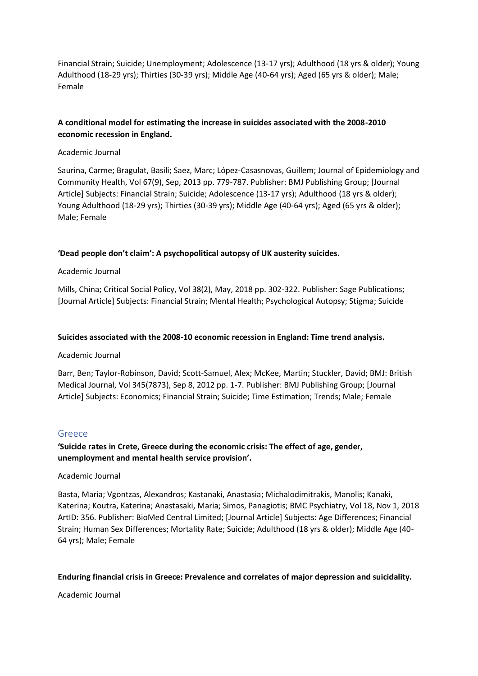Financial Strain; Suicide; Unemployment; Adolescence (13-17 yrs); Adulthood (18 yrs & older); Young Adulthood (18-29 yrs); Thirties (30-39 yrs); Middle Age (40-64 yrs); Aged (65 yrs & older); Male; Female

# **A conditional model for estimating the increase in suicides associated with the 2008-2010 economic recession in England.**

## Academic Journal

Saurina, Carme; Bragulat, Basili; Saez, Marc; López-Casasnovas, Guillem; Journal of Epidemiology and Community Health, Vol 67(9), Sep, 2013 pp. 779-787. Publisher: BMJ Publishing Group; [Journal Article] Subjects: Financial Strain; Suicide; Adolescence (13-17 yrs); Adulthood (18 yrs & older); Young Adulthood (18-29 yrs); Thirties (30-39 yrs); Middle Age (40-64 yrs); Aged (65 yrs & older); Male; Female

## **'Dead people don't claim': A psychopolitical autopsy of UK austerity suicides.**

## Academic Journal

Mills, China; Critical Social Policy, Vol 38(2), May, 2018 pp. 302-322. Publisher: Sage Publications; [Journal Article] Subjects: Financial Strain; Mental Health; Psychological Autopsy; Stigma; Suicide

## **Suicides associated with the 2008-10 economic recession in England: Time trend analysis.**

## Academic Journal

Barr, Ben; Taylor-Robinson, David; Scott-Samuel, Alex; McKee, Martin; Stuckler, David; BMJ: British Medical Journal, Vol 345(7873), Sep 8, 2012 pp. 1-7. Publisher: BMJ Publishing Group; [Journal Article] Subjects: Economics; Financial Strain; Suicide; Time Estimation; Trends; Male; Female

## Greece

# **'Suicide rates in Crete, Greece during the economic crisis: The effect of age, gender, unemployment and mental health service provision'.**

## Academic Journal

Basta, Maria; Vgontzas, Alexandros; Kastanaki, Anastasia; Michalodimitrakis, Manolis; Kanaki, Katerina; Koutra, Katerina; Anastasaki, Maria; Simos, Panagiotis; BMC Psychiatry, Vol 18, Nov 1, 2018 ArtID: 356. Publisher: BioMed Central Limited; [Journal Article] Subjects: Age Differences; Financial Strain; Human Sex Differences; Mortality Rate; Suicide; Adulthood (18 yrs & older); Middle Age (40- 64 yrs); Male; Female

## **Enduring financial crisis in Greece: Prevalence and correlates of major depression and suicidality.**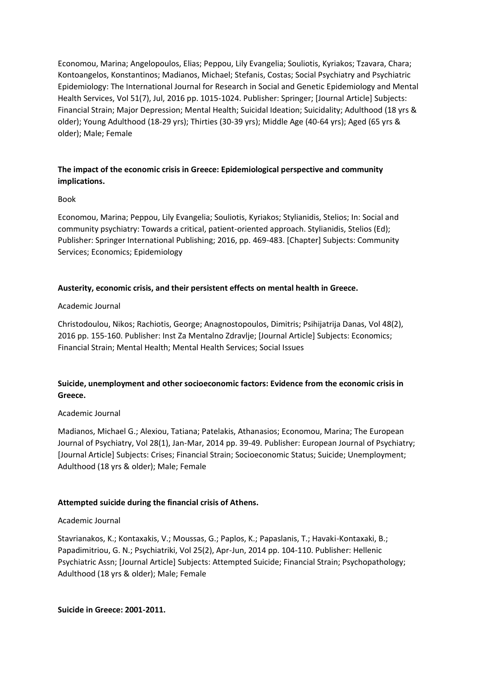Economou, Marina; Angelopoulos, Elias; Peppou, Lily Evangelia; Souliotis, Kyriakos; Tzavara, Chara; Kontoangelos, Konstantinos; Madianos, Michael; Stefanis, Costas; Social Psychiatry and Psychiatric Epidemiology: The International Journal for Research in Social and Genetic Epidemiology and Mental Health Services, Vol 51(7), Jul, 2016 pp. 1015-1024. Publisher: Springer; [Journal Article] Subjects: Financial Strain; Major Depression; Mental Health; Suicidal Ideation; Suicidality; Adulthood (18 yrs & older); Young Adulthood (18-29 yrs); Thirties (30-39 yrs); Middle Age (40-64 yrs); Aged (65 yrs & older); Male; Female

## **The impact of the economic crisis in Greece: Epidemiological perspective and community implications.**

## Book

Economou, Marina; Peppou, Lily Evangelia; Souliotis, Kyriakos; Stylianidis, Stelios; In: Social and community psychiatry: Towards a critical, patient-oriented approach. Stylianidis, Stelios (Ed); Publisher: Springer International Publishing; 2016, pp. 469-483. [Chapter] Subjects: Community Services; Economics; Epidemiology

## **Austerity, economic crisis, and their persistent effects on mental health in Greece.**

## Academic Journal

Christodoulou, Nikos; Rachiotis, George; Anagnostopoulos, Dimitris; Psihijatrija Danas, Vol 48(2), 2016 pp. 155-160. Publisher: Inst Za Mentalno Zdravlje; [Journal Article] Subjects: Economics; Financial Strain; Mental Health; Mental Health Services; Social Issues

# **Suicide, unemployment and other socioeconomic factors: Evidence from the economic crisis in Greece.**

## Academic Journal

Madianos, Michael G.; Alexiou, Tatiana; Patelakis, Athanasios; Economou, Marina; The European Journal of Psychiatry, Vol 28(1), Jan-Mar, 2014 pp. 39-49. Publisher: European Journal of Psychiatry; [Journal Article] Subjects: Crises; Financial Strain; Socioeconomic Status; Suicide; Unemployment; Adulthood (18 yrs & older); Male; Female

## **Attempted suicide during the financial crisis of Athens.**

## Academic Journal

Stavrianakos, K.; Kontaxakis, V.; Moussas, G.; Paplos, K.; Papaslanis, T.; Havaki-Kontaxaki, B.; Papadimitriou, G. N.; Psychiatriki, Vol 25(2), Apr-Jun, 2014 pp. 104-110. Publisher: Hellenic Psychiatric Assn; [Journal Article] Subjects: Attempted Suicide; Financial Strain; Psychopathology; Adulthood (18 yrs & older); Male; Female

**Suicide in Greece: 2001-2011.**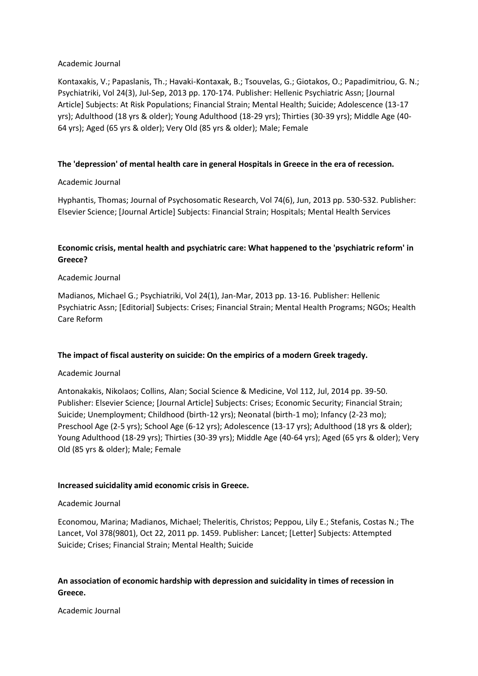## Academic Journal

Kontaxakis, V.; Papaslanis, Th.; Havaki-Kontaxak, B.; Tsouvelas, G.; Giotakos, O.; Papadimitriou, G. N.; Psychiatriki, Vol 24(3), Jul-Sep, 2013 pp. 170-174. Publisher: Hellenic Psychiatric Assn; [Journal Article] Subjects: At Risk Populations; Financial Strain; Mental Health; Suicide; Adolescence (13-17 yrs); Adulthood (18 yrs & older); Young Adulthood (18-29 yrs); Thirties (30-39 yrs); Middle Age (40- 64 yrs); Aged (65 yrs & older); Very Old (85 yrs & older); Male; Female

## **The 'depression' of mental health care in general Hospitals in Greece in the era of recession.**

## Academic Journal

Hyphantis, Thomas; Journal of Psychosomatic Research, Vol 74(6), Jun, 2013 pp. 530-532. Publisher: Elsevier Science; [Journal Article] Subjects: Financial Strain; Hospitals; Mental Health Services

# **Economic crisis, mental health and psychiatric care: What happened to the 'psychiatric reform' in Greece?**

## Academic Journal

Madianos, Michael G.; Psychiatriki, Vol 24(1), Jan-Mar, 2013 pp. 13-16. Publisher: Hellenic Psychiatric Assn; [Editorial] Subjects: Crises; Financial Strain; Mental Health Programs; NGOs; Health Care Reform

## **The impact of fiscal austerity on suicide: On the empirics of a modern Greek tragedy.**

## Academic Journal

Antonakakis, Nikolaos; Collins, Alan; Social Science & Medicine, Vol 112, Jul, 2014 pp. 39-50. Publisher: Elsevier Science; [Journal Article] Subjects: Crises; Economic Security; Financial Strain; Suicide; Unemployment; Childhood (birth-12 yrs); Neonatal (birth-1 mo); Infancy (2-23 mo); Preschool Age (2-5 yrs); School Age (6-12 yrs); Adolescence (13-17 yrs); Adulthood (18 yrs & older); Young Adulthood (18-29 yrs); Thirties (30-39 yrs); Middle Age (40-64 yrs); Aged (65 yrs & older); Very Old (85 yrs & older); Male; Female

## **Increased suicidality amid economic crisis in Greece.**

## Academic Journal

Economou, Marina; Madianos, Michael; Theleritis, Christos; Peppou, Lily E.; Stefanis, Costas N.; The Lancet, Vol 378(9801), Oct 22, 2011 pp. 1459. Publisher: Lancet; [Letter] Subjects: Attempted Suicide; Crises; Financial Strain; Mental Health; Suicide

# **An association of economic hardship with depression and suicidality in times of recession in Greece.**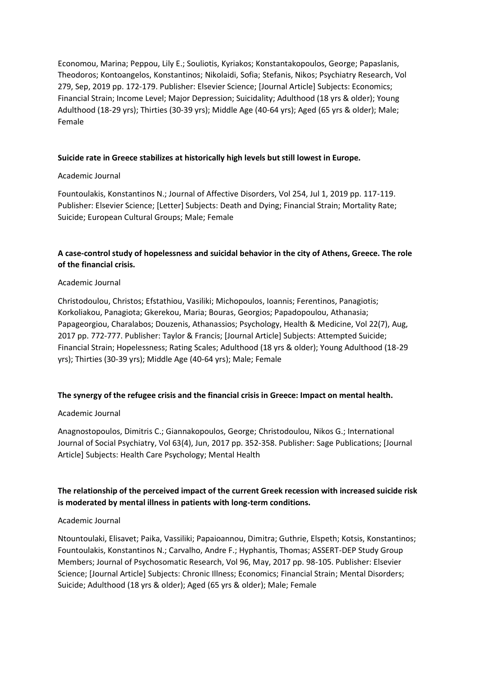Economou, Marina; Peppou, Lily E.; Souliotis, Kyriakos; Konstantakopoulos, George; Papaslanis, Theodoros; Kontoangelos, Konstantinos; Nikolaidi, Sofia; Stefanis, Nikos; Psychiatry Research, Vol 279, Sep, 2019 pp. 172-179. Publisher: Elsevier Science; [Journal Article] Subjects: Economics; Financial Strain; Income Level; Major Depression; Suicidality; Adulthood (18 yrs & older); Young Adulthood (18-29 yrs); Thirties (30-39 yrs); Middle Age (40-64 yrs); Aged (65 yrs & older); Male; Female

## **Suicide rate in Greece stabilizes at historically high levels but still lowest in Europe.**

## Academic Journal

Fountoulakis, Konstantinos N.; Journal of Affective Disorders, Vol 254, Jul 1, 2019 pp. 117-119. Publisher: Elsevier Science; [Letter] Subjects: Death and Dying; Financial Strain; Mortality Rate; Suicide; European Cultural Groups; Male; Female

# **A case-control study of hopelessness and suicidal behavior in the city of Athens, Greece. The role of the financial crisis.**

## Academic Journal

Christodoulou, Christos; Efstathiou, Vasiliki; Michopoulos, Ioannis; Ferentinos, Panagiotis; Korkoliakou, Panagiota; Gkerekou, Maria; Bouras, Georgios; Papadopoulou, Athanasia; Papageorgiou, Charalabos; Douzenis, Athanassios; Psychology, Health & Medicine, Vol 22(7), Aug, 2017 pp. 772-777. Publisher: Taylor & Francis; [Journal Article] Subjects: Attempted Suicide; Financial Strain; Hopelessness; Rating Scales; Adulthood (18 yrs & older); Young Adulthood (18-29 yrs); Thirties (30-39 yrs); Middle Age (40-64 yrs); Male; Female

## **The synergy of the refugee crisis and the financial crisis in Greece: Impact on mental health.**

## Academic Journal

Anagnostopoulos, Dimitris C.; Giannakopoulos, George; Christodoulou, Nikos G.; International Journal of Social Psychiatry, Vol 63(4), Jun, 2017 pp. 352-358. Publisher: Sage Publications; [Journal Article] Subjects: Health Care Psychology; Mental Health

# **The relationship of the perceived impact of the current Greek recession with increased suicide risk is moderated by mental illness in patients with long-term conditions.**

## Academic Journal

Ntountoulaki, Elisavet; Paika, Vassiliki; Papaioannou, Dimitra; Guthrie, Elspeth; Kotsis, Konstantinos; Fountoulakis, Konstantinos N.; Carvalho, Andre F.; Hyphantis, Thomas; ASSERT-DEP Study Group Members; Journal of Psychosomatic Research, Vol 96, May, 2017 pp. 98-105. Publisher: Elsevier Science; [Journal Article] Subjects: Chronic Illness; Economics; Financial Strain; Mental Disorders; Suicide; Adulthood (18 yrs & older); Aged (65 yrs & older); Male; Female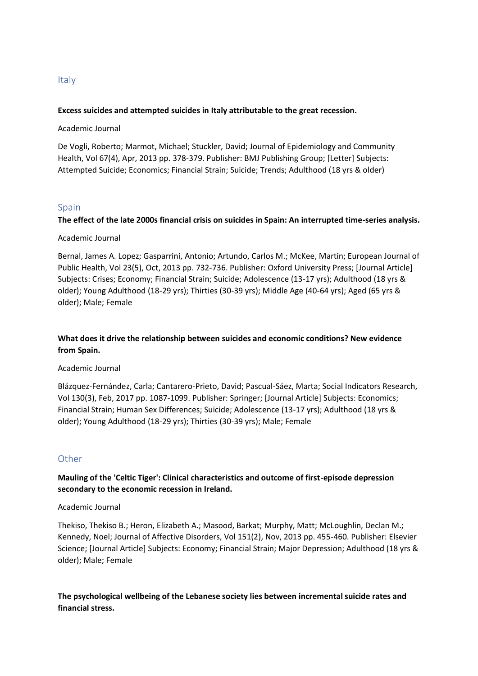# **Excess suicides and attempted suicides in Italy attributable to the great recession.**

Academic Journal

De Vogli, Roberto; Marmot, Michael; Stuckler, David; Journal of Epidemiology and Community Health, Vol 67(4), Apr, 2013 pp. 378-379. Publisher: BMJ Publishing Group; [Letter] Subjects: Attempted Suicide; Economics; Financial Strain; Suicide; Trends; Adulthood (18 yrs & older)

# Spain

# **The effect of the late 2000s financial crisis on suicides in Spain: An interrupted time-series analysis.**

## Academic Journal

Bernal, James A. Lopez; Gasparrini, Antonio; Artundo, Carlos M.; McKee, Martin; European Journal of Public Health, Vol 23(5), Oct, 2013 pp. 732-736. Publisher: Oxford University Press; [Journal Article] Subjects: Crises; Economy; Financial Strain; Suicide; Adolescence (13-17 yrs); Adulthood (18 yrs & older); Young Adulthood (18-29 yrs); Thirties (30-39 yrs); Middle Age (40-64 yrs); Aged (65 yrs & older); Male; Female

# **What does it drive the relationship between suicides and economic conditions? New evidence from Spain.**

## Academic Journal

Blázquez-Fernández, Carla; Cantarero-Prieto, David; Pascual-Sáez, Marta; Social Indicators Research, Vol 130(3), Feb, 2017 pp. 1087-1099. Publisher: Springer; [Journal Article] Subjects: Economics; Financial Strain; Human Sex Differences; Suicide; Adolescence (13-17 yrs); Adulthood (18 yrs & older); Young Adulthood (18-29 yrs); Thirties (30-39 yrs); Male; Female

# **Other**

**Mauling of the 'Celtic Tiger': Clinical characteristics and outcome of first-episode depression secondary to the economic recession in Ireland.**

## Academic Journal

Thekiso, Thekiso B.; Heron, Elizabeth A.; Masood, Barkat; Murphy, Matt; McLoughlin, Declan M.; Kennedy, Noel; Journal of Affective Disorders, Vol 151(2), Nov, 2013 pp. 455-460. Publisher: Elsevier Science; [Journal Article] Subjects: Economy; Financial Strain; Major Depression; Adulthood (18 yrs & older); Male; Female

**The psychological wellbeing of the Lebanese society lies between incremental suicide rates and financial stress.**

# **Italy**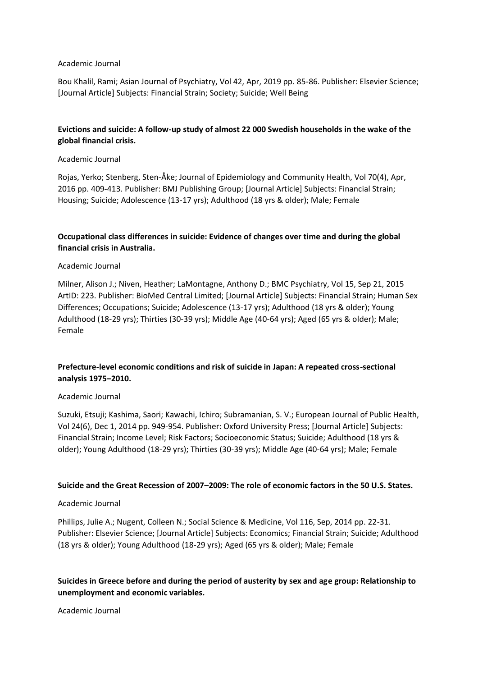#### Academic Journal

Bou Khalil, Rami; Asian Journal of Psychiatry, Vol 42, Apr, 2019 pp. 85-86. Publisher: Elsevier Science; [Journal Article] Subjects: Financial Strain; Society; Suicide; Well Being

# **Evictions and suicide: A follow-up study of almost 22 000 Swedish households in the wake of the global financial crisis.**

#### Academic Journal

Rojas, Yerko; Stenberg, Sten-Åke; Journal of Epidemiology and Community Health, Vol 70(4), Apr, 2016 pp. 409-413. Publisher: BMJ Publishing Group; [Journal Article] Subjects: Financial Strain; Housing; Suicide; Adolescence (13-17 yrs); Adulthood (18 yrs & older); Male; Female

## **Occupational class differences in suicide: Evidence of changes over time and during the global financial crisis in Australia.**

## Academic Journal

Milner, Alison J.; Niven, Heather; LaMontagne, Anthony D.; BMC Psychiatry, Vol 15, Sep 21, 2015 ArtID: 223. Publisher: BioMed Central Limited; [Journal Article] Subjects: Financial Strain; Human Sex Differences; Occupations; Suicide; Adolescence (13-17 yrs); Adulthood (18 yrs & older); Young Adulthood (18-29 yrs); Thirties (30-39 yrs); Middle Age (40-64 yrs); Aged (65 yrs & older); Male; Female

# **Prefecture-level economic conditions and risk of suicide in Japan: A repeated cross-sectional analysis 1975–2010.**

## Academic Journal

Suzuki, Etsuji; Kashima, Saori; Kawachi, Ichiro; Subramanian, S. V.; European Journal of Public Health, Vol 24(6), Dec 1, 2014 pp. 949-954. Publisher: Oxford University Press; [Journal Article] Subjects: Financial Strain; Income Level; Risk Factors; Socioeconomic Status; Suicide; Adulthood (18 yrs & older); Young Adulthood (18-29 yrs); Thirties (30-39 yrs); Middle Age (40-64 yrs); Male; Female

## **Suicide and the Great Recession of 2007–2009: The role of economic factors in the 50 U.S. States.**

## Academic Journal

Phillips, Julie A.; Nugent, Colleen N.; Social Science & Medicine, Vol 116, Sep, 2014 pp. 22-31. Publisher: Elsevier Science; [Journal Article] Subjects: Economics; Financial Strain; Suicide; Adulthood (18 yrs & older); Young Adulthood (18-29 yrs); Aged (65 yrs & older); Male; Female

# **Suicides in Greece before and during the period of austerity by sex and age group: Relationship to unemployment and economic variables.**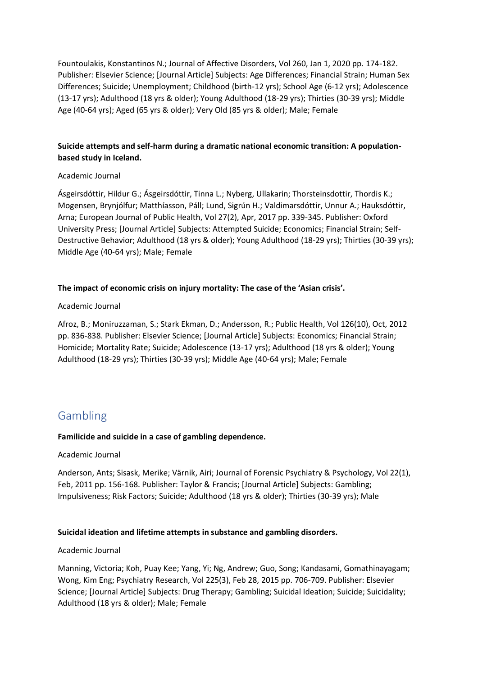Fountoulakis, Konstantinos N.; Journal of Affective Disorders, Vol 260, Jan 1, 2020 pp. 174-182. Publisher: Elsevier Science; [Journal Article] Subjects: Age Differences; Financial Strain; Human Sex Differences; Suicide; Unemployment; Childhood (birth-12 yrs); School Age (6-12 yrs); Adolescence (13-17 yrs); Adulthood (18 yrs & older); Young Adulthood (18-29 yrs); Thirties (30-39 yrs); Middle Age (40-64 yrs); Aged (65 yrs & older); Very Old (85 yrs & older); Male; Female

# **Suicide attempts and self-harm during a dramatic national economic transition: A populationbased study in Iceland.**

## Academic Journal

Ásgeirsdóttir, Hildur G.; Ásgeirsdóttir, Tinna L.; Nyberg, Ullakarin; Thorsteinsdottir, Thordis K.; Mogensen, Brynjólfur; Matthíasson, Páll; Lund, Sigrún H.; Valdimarsdóttir, Unnur A.; Hauksdóttir, Arna; European Journal of Public Health, Vol 27(2), Apr, 2017 pp. 339-345. Publisher: Oxford University Press; [Journal Article] Subjects: Attempted Suicide; Economics; Financial Strain; Self-Destructive Behavior; Adulthood (18 yrs & older); Young Adulthood (18-29 yrs); Thirties (30-39 yrs); Middle Age (40-64 yrs); Male; Female

## **The impact of economic crisis on injury mortality: The case of the 'Asian crisis'.**

## Academic Journal

Afroz, B.; Moniruzzaman, S.; Stark Ekman, D.; Andersson, R.; Public Health, Vol 126(10), Oct, 2012 pp. 836-838. Publisher: Elsevier Science; [Journal Article] Subjects: Economics; Financial Strain; Homicide; Mortality Rate; Suicide; Adolescence (13-17 yrs); Adulthood (18 yrs & older); Young Adulthood (18-29 yrs); Thirties (30-39 yrs); Middle Age (40-64 yrs); Male; Female

# Gambling

## **Familicide and suicide in a case of gambling dependence.**

## Academic Journal

Anderson, Ants; Sisask, Merike; Värnik, Airi; Journal of Forensic Psychiatry & Psychology, Vol 22(1), Feb, 2011 pp. 156-168. Publisher: Taylor & Francis; [Journal Article] Subjects: Gambling; Impulsiveness; Risk Factors; Suicide; Adulthood (18 yrs & older); Thirties (30-39 yrs); Male

## **Suicidal ideation and lifetime attempts in substance and gambling disorders.**

## Academic Journal

Manning, Victoria; Koh, Puay Kee; Yang, Yi; Ng, Andrew; Guo, Song; Kandasami, Gomathinayagam; Wong, Kim Eng; Psychiatry Research, Vol 225(3), Feb 28, 2015 pp. 706-709. Publisher: Elsevier Science; [Journal Article] Subjects: Drug Therapy; Gambling; Suicidal Ideation; Suicide; Suicidality; Adulthood (18 yrs & older); Male; Female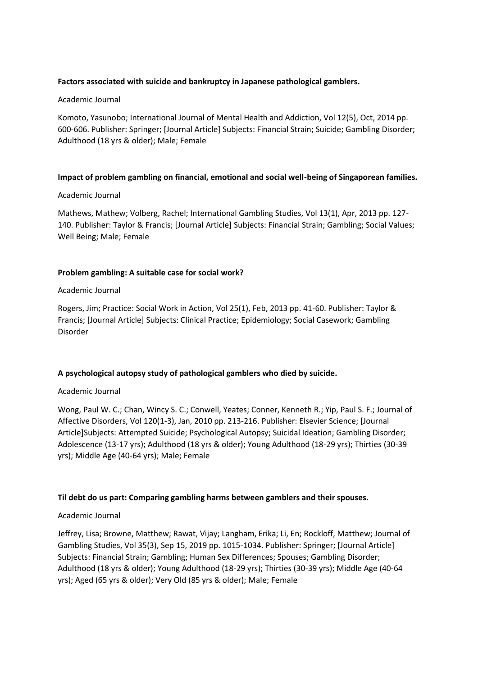## **Factors associated with suicide and bankruptcy in Japanese pathological gamblers.**

## Academic Journal

Komoto, Yasunobo; International Journal of Mental Health and Addiction, Vol 12(5), Oct, 2014 pp. 600-606. Publisher: Springer; [Journal Article] Subjects: Financial Strain; Suicide; Gambling Disorder; Adulthood (18 yrs & older); Male; Female

## **Impact of problem gambling on financial, emotional and social well-being of Singaporean families.**

#### Academic Journal

Mathews, Mathew; Volberg, Rachel; International Gambling Studies, Vol 13(1), Apr, 2013 pp. 127- 140. Publisher: Taylor & Francis; [Journal Article] Subjects: Financial Strain; Gambling; Social Values; Well Being; Male; Female

## **Problem gambling: A suitable case for social work?**

#### Academic Journal

Rogers, Jim; Practice: Social Work in Action, Vol 25(1), Feb, 2013 pp. 41-60. Publisher: Taylor & Francis; [Journal Article] Subjects: Clinical Practice; Epidemiology; Social Casework; Gambling Disorder

## **A psychological autopsy study of pathological gamblers who died by suicide.**

## Academic Journal

Wong, Paul W. C.; Chan, Wincy S. C.; Conwell, Yeates; Conner, Kenneth R.; Yip, Paul S. F.; Journal of Affective Disorders, Vol 120(1-3), Jan, 2010 pp. 213-216. Publisher: Elsevier Science; [Journal Article]Subjects: Attempted Suicide; Psychological Autopsy; Suicidal Ideation; Gambling Disorder; Adolescence (13-17 yrs); Adulthood (18 yrs & older); Young Adulthood (18-29 yrs); Thirties (30-39 yrs); Middle Age (40-64 yrs); Male; Female

## **Til debt do us part: Comparing gambling harms between gamblers and their spouses.**

## Academic Journal

Jeffrey, Lisa; Browne, Matthew; Rawat, Vijay; Langham, Erika; Li, En; Rockloff, Matthew; Journal of Gambling Studies, Vol 35(3), Sep 15, 2019 pp. 1015-1034. Publisher: Springer; [Journal Article] Subjects: Financial Strain; Gambling; Human Sex Differences; Spouses; Gambling Disorder; Adulthood (18 yrs & older); Young Adulthood (18-29 yrs); Thirties (30-39 yrs); Middle Age (40-64 yrs); Aged (65 yrs & older); Very Old (85 yrs & older); Male; Female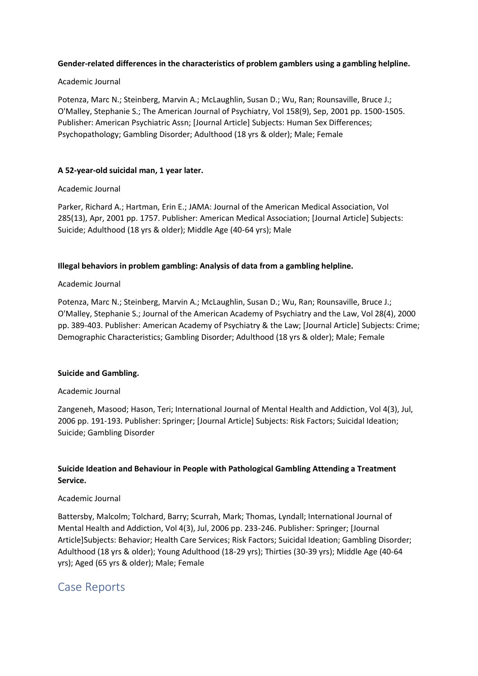## **Gender-related differences in the characteristics of problem gamblers using a gambling helpline.**

## Academic Journal

Potenza, Marc N.; Steinberg, Marvin A.; McLaughlin, Susan D.; Wu, Ran; Rounsaville, Bruce J.; O'Malley, Stephanie S.; The American Journal of Psychiatry, Vol 158(9), Sep, 2001 pp. 1500-1505. Publisher: American Psychiatric Assn; [Journal Article] Subjects: Human Sex Differences; Psychopathology; Gambling Disorder; Adulthood (18 yrs & older); Male; Female

## **A 52-year-old suicidal man, 1 year later.**

## Academic Journal

Parker, Richard A.; Hartman, Erin E.; JAMA: Journal of the American Medical Association, Vol 285(13), Apr, 2001 pp. 1757. Publisher: American Medical Association; [Journal Article] Subjects: Suicide; Adulthood (18 yrs & older); Middle Age (40-64 yrs); Male

## **Illegal behaviors in problem gambling: Analysis of data from a gambling helpline.**

## Academic Journal

Potenza, Marc N.; Steinberg, Marvin A.; McLaughlin, Susan D.; Wu, Ran; Rounsaville, Bruce J.; O'Malley, Stephanie S.; Journal of the American Academy of Psychiatry and the Law, Vol 28(4), 2000 pp. 389-403. Publisher: American Academy of Psychiatry & the Law; [Journal Article] Subjects: Crime; Demographic Characteristics; Gambling Disorder; Adulthood (18 yrs & older); Male; Female

## **Suicide and Gambling.**

## Academic Journal

Zangeneh, Masood; Hason, Teri; International Journal of Mental Health and Addiction, Vol 4(3), Jul, 2006 pp. 191-193. Publisher: Springer; [Journal Article] Subjects: Risk Factors; Suicidal Ideation; Suicide; Gambling Disorder

# **Suicide Ideation and Behaviour in People with Pathological Gambling Attending a Treatment Service.**

## Academic Journal

Battersby, Malcolm; Tolchard, Barry; Scurrah, Mark; Thomas, Lyndall; International Journal of Mental Health and Addiction, Vol 4(3), Jul, 2006 pp. 233-246. Publisher: Springer; [Journal Article]Subjects: Behavior; Health Care Services; Risk Factors; Suicidal Ideation; Gambling Disorder; Adulthood (18 yrs & older); Young Adulthood (18-29 yrs); Thirties (30-39 yrs); Middle Age (40-64 yrs); Aged (65 yrs & older); Male; Female

# Case Reports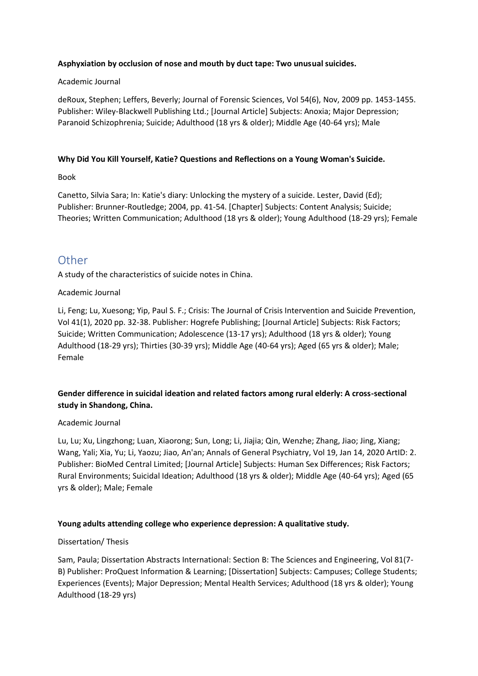## **Asphyxiation by occlusion of nose and mouth by duct tape: Two unusual suicides.**

## Academic Journal

deRoux, Stephen; Leffers, Beverly; Journal of Forensic Sciences, Vol 54(6), Nov, 2009 pp. 1453-1455. Publisher: Wiley-Blackwell Publishing Ltd.; [Journal Article] Subjects: Anoxia; Major Depression; Paranoid Schizophrenia; Suicide; Adulthood (18 yrs & older); Middle Age (40-64 yrs); Male

## **Why Did You Kill Yourself, Katie? Questions and Reflections on a Young Woman's Suicide.**

Book

Canetto, Silvia Sara; In: Katie's diary: Unlocking the mystery of a suicide. Lester, David (Ed); Publisher: Brunner-Routledge; 2004, pp. 41-54. [Chapter] Subjects: Content Analysis; Suicide; Theories; Written Communication; Adulthood (18 yrs & older); Young Adulthood (18-29 yrs); Female

# Other

A study of the characteristics of suicide notes in China.

## Academic Journal

Li, Feng; Lu, Xuesong; Yip, Paul S. F.; Crisis: The Journal of Crisis Intervention and Suicide Prevention, Vol 41(1), 2020 pp. 32-38. Publisher: Hogrefe Publishing; [Journal Article] Subjects: Risk Factors; Suicide; Written Communication; Adolescence (13-17 yrs); Adulthood (18 yrs & older); Young Adulthood (18-29 yrs); Thirties (30-39 yrs); Middle Age (40-64 yrs); Aged (65 yrs & older); Male; Female

# **Gender difference in suicidal ideation and related factors among rural elderly: A cross-sectional study in Shandong, China.**

## Academic Journal

Lu, Lu; Xu, Lingzhong; Luan, Xiaorong; Sun, Long; Li, Jiajia; Qin, Wenzhe; Zhang, Jiao; Jing, Xiang; Wang, Yali; Xia, Yu; Li, Yaozu; Jiao, An'an; Annals of General Psychiatry, Vol 19, Jan 14, 2020 ArtID: 2. Publisher: BioMed Central Limited; [Journal Article] Subjects: Human Sex Differences; Risk Factors; Rural Environments; Suicidal Ideation; Adulthood (18 yrs & older); Middle Age (40-64 yrs); Aged (65 yrs & older); Male; Female

## **Young adults attending college who experience depression: A qualitative study.**

## Dissertation/ Thesis

Sam, Paula; Dissertation Abstracts International: Section B: The Sciences and Engineering, Vol 81(7- B) Publisher: ProQuest Information & Learning; [Dissertation] Subjects: Campuses; College Students; Experiences (Events); Major Depression; Mental Health Services; Adulthood (18 yrs & older); Young Adulthood (18-29 yrs)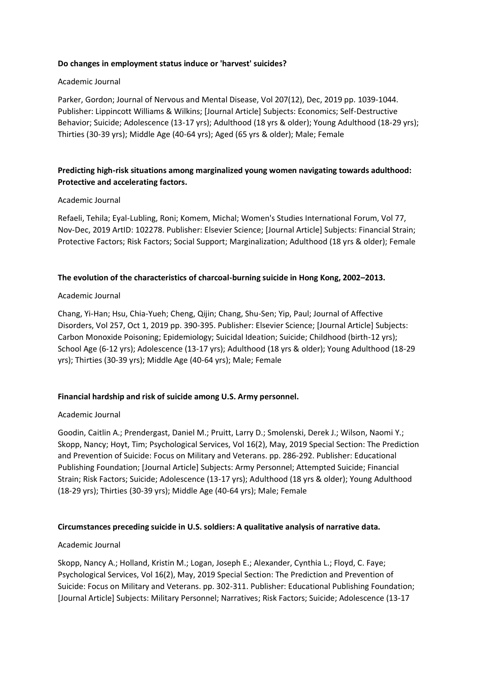## **Do changes in employment status induce or 'harvest' suicides?**

## Academic Journal

Parker, Gordon; Journal of Nervous and Mental Disease, Vol 207(12), Dec, 2019 pp. 1039-1044. Publisher: Lippincott Williams & Wilkins; [Journal Article] Subjects: Economics; Self-Destructive Behavior; Suicide; Adolescence (13-17 yrs); Adulthood (18 yrs & older); Young Adulthood (18-29 yrs); Thirties (30-39 yrs); Middle Age (40-64 yrs); Aged (65 yrs & older); Male; Female

# **Predicting high-risk situations among marginalized young women navigating towards adulthood: Protective and accelerating factors.**

## Academic Journal

Refaeli, Tehila; Eyal-Lubling, Roni; Komem, Michal; Women's Studies International Forum, Vol 77, Nov-Dec, 2019 ArtID: 102278. Publisher: Elsevier Science; [Journal Article] Subjects: Financial Strain; Protective Factors; Risk Factors; Social Support; Marginalization; Adulthood (18 yrs & older); Female

## **The evolution of the characteristics of charcoal-burning suicide in Hong Kong, 2002–2013.**

## Academic Journal

Chang, Yi-Han; Hsu, Chia-Yueh; Cheng, Qijin; Chang, Shu-Sen; Yip, Paul; Journal of Affective Disorders, Vol 257, Oct 1, 2019 pp. 390-395. Publisher: Elsevier Science; [Journal Article] Subjects: Carbon Monoxide Poisoning; Epidemiology; Suicidal Ideation; Suicide; Childhood (birth-12 yrs); School Age (6-12 yrs); Adolescence (13-17 yrs); Adulthood (18 yrs & older); Young Adulthood (18-29 yrs); Thirties (30-39 yrs); Middle Age (40-64 yrs); Male; Female

## **Financial hardship and risk of suicide among U.S. Army personnel.**

## Academic Journal

Goodin, Caitlin A.; Prendergast, Daniel M.; Pruitt, Larry D.; Smolenski, Derek J.; Wilson, Naomi Y.; Skopp, Nancy; Hoyt, Tim; Psychological Services, Vol 16(2), May, 2019 Special Section: The Prediction and Prevention of Suicide: Focus on Military and Veterans. pp. 286-292. Publisher: Educational Publishing Foundation; [Journal Article] Subjects: Army Personnel; Attempted Suicide; Financial Strain; Risk Factors; Suicide; Adolescence (13-17 yrs); Adulthood (18 yrs & older); Young Adulthood (18-29 yrs); Thirties (30-39 yrs); Middle Age (40-64 yrs); Male; Female

## **Circumstances preceding suicide in U.S. soldiers: A qualitative analysis of narrative data.**

## Academic Journal

Skopp, Nancy A.; Holland, Kristin M.; Logan, Joseph E.; Alexander, Cynthia L.; Floyd, C. Faye; Psychological Services, Vol 16(2), May, 2019 Special Section: The Prediction and Prevention of Suicide: Focus on Military and Veterans. pp. 302-311. Publisher: Educational Publishing Foundation; [Journal Article] Subjects: Military Personnel; Narratives; Risk Factors; Suicide; Adolescence (13-17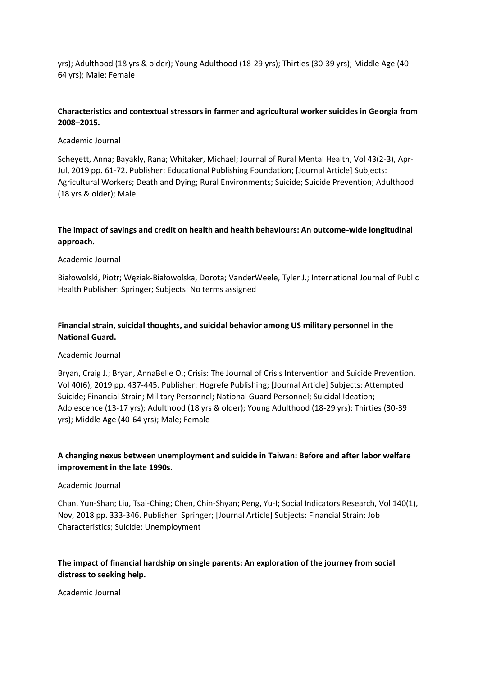yrs); Adulthood (18 yrs & older); Young Adulthood (18-29 yrs); Thirties (30-39 yrs); Middle Age (40- 64 yrs); Male; Female

## **Characteristics and contextual stressors in farmer and agricultural worker suicides in Georgia from 2008–2015.**

## Academic Journal

Scheyett, Anna; Bayakly, Rana; Whitaker, Michael; Journal of Rural Mental Health, Vol 43(2-3), Apr-Jul, 2019 pp. 61-72. Publisher: Educational Publishing Foundation; [Journal Article] Subjects: Agricultural Workers; Death and Dying; Rural Environments; Suicide; Suicide Prevention; Adulthood (18 yrs & older); Male

## **The impact of savings and credit on health and health behaviours: An outcome-wide longitudinal approach.**

#### Academic Journal

Białowolski, Piotr; Węziak-Białowolska, Dorota; VanderWeele, Tyler J.; International Journal of Public Health Publisher: Springer; Subjects: No terms assigned

# **Financial strain, suicidal thoughts, and suicidal behavior among US military personnel in the National Guard.**

#### Academic Journal

Bryan, Craig J.; Bryan, AnnaBelle O.; Crisis: The Journal of Crisis Intervention and Suicide Prevention, Vol 40(6), 2019 pp. 437-445. Publisher: Hogrefe Publishing; [Journal Article] Subjects: Attempted Suicide; Financial Strain; Military Personnel; National Guard Personnel; Suicidal Ideation; Adolescence (13-17 yrs); Adulthood (18 yrs & older); Young Adulthood (18-29 yrs); Thirties (30-39 yrs); Middle Age (40-64 yrs); Male; Female

## **A changing nexus between unemployment and suicide in Taiwan: Before and after labor welfare improvement in the late 1990s.**

#### Academic Journal

Chan, Yun-Shan; Liu, Tsai-Ching; Chen, Chin-Shyan; Peng, Yu-I; Social Indicators Research, Vol 140(1), Nov, 2018 pp. 333-346. Publisher: Springer; [Journal Article] Subjects: Financial Strain; Job Characteristics; Suicide; Unemployment

# **The impact of financial hardship on single parents: An exploration of the journey from social distress to seeking help.**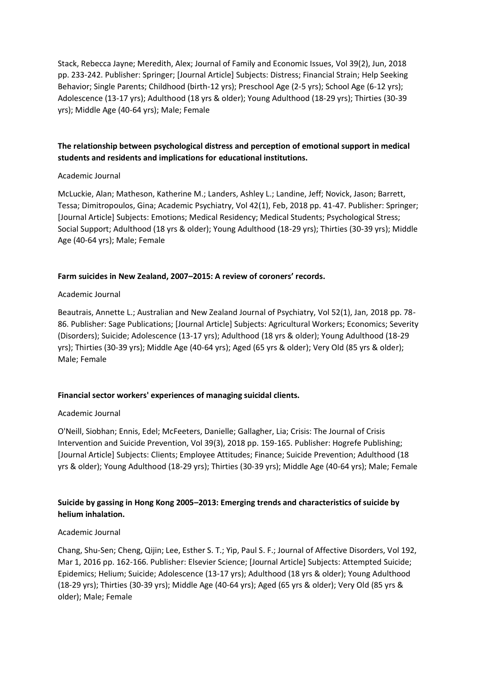Stack, Rebecca Jayne; Meredith, Alex; Journal of Family and Economic Issues, Vol 39(2), Jun, 2018 pp. 233-242. Publisher: Springer; [Journal Article] Subjects: Distress; Financial Strain; Help Seeking Behavior; Single Parents; Childhood (birth-12 yrs); Preschool Age (2-5 yrs); School Age (6-12 yrs); Adolescence (13-17 yrs); Adulthood (18 yrs & older); Young Adulthood (18-29 yrs); Thirties (30-39 yrs); Middle Age (40-64 yrs); Male; Female

# **The relationship between psychological distress and perception of emotional support in medical students and residents and implications for educational institutions.**

## Academic Journal

McLuckie, Alan; Matheson, Katherine M.; Landers, Ashley L.; Landine, Jeff; Novick, Jason; Barrett, Tessa; Dimitropoulos, Gina; Academic Psychiatry, Vol 42(1), Feb, 2018 pp. 41-47. Publisher: Springer; [Journal Article] Subjects: Emotions; Medical Residency; Medical Students; Psychological Stress; Social Support; Adulthood (18 yrs & older); Young Adulthood (18-29 yrs); Thirties (30-39 yrs); Middle Age (40-64 yrs); Male; Female

## **Farm suicides in New Zealand, 2007–2015: A review of coroners' records.**

## Academic Journal

Beautrais, Annette L.; Australian and New Zealand Journal of Psychiatry, Vol 52(1), Jan, 2018 pp. 78- 86. Publisher: Sage Publications; [Journal Article] Subjects: Agricultural Workers; Economics; Severity (Disorders); Suicide; Adolescence (13-17 yrs); Adulthood (18 yrs & older); Young Adulthood (18-29 yrs); Thirties (30-39 yrs); Middle Age (40-64 yrs); Aged (65 yrs & older); Very Old (85 yrs & older); Male; Female

## **Financial sector workers' experiences of managing suicidal clients.**

## Academic Journal

O'Neill, Siobhan; Ennis, Edel; McFeeters, Danielle; Gallagher, Lia; Crisis: The Journal of Crisis Intervention and Suicide Prevention, Vol 39(3), 2018 pp. 159-165. Publisher: Hogrefe Publishing; [Journal Article] Subjects: Clients; Employee Attitudes; Finance; Suicide Prevention; Adulthood (18 yrs & older); Young Adulthood (18-29 yrs); Thirties (30-39 yrs); Middle Age (40-64 yrs); Male; Female

# **Suicide by gassing in Hong Kong 2005–2013: Emerging trends and characteristics of suicide by helium inhalation.**

## Academic Journal

Chang, Shu-Sen; Cheng, Qijin; Lee, Esther S. T.; Yip, Paul S. F.; Journal of Affective Disorders, Vol 192, Mar 1, 2016 pp. 162-166. Publisher: Elsevier Science; [Journal Article] Subjects: Attempted Suicide; Epidemics; Helium; Suicide; Adolescence (13-17 yrs); Adulthood (18 yrs & older); Young Adulthood (18-29 yrs); Thirties (30-39 yrs); Middle Age (40-64 yrs); Aged (65 yrs & older); Very Old (85 yrs & older); Male; Female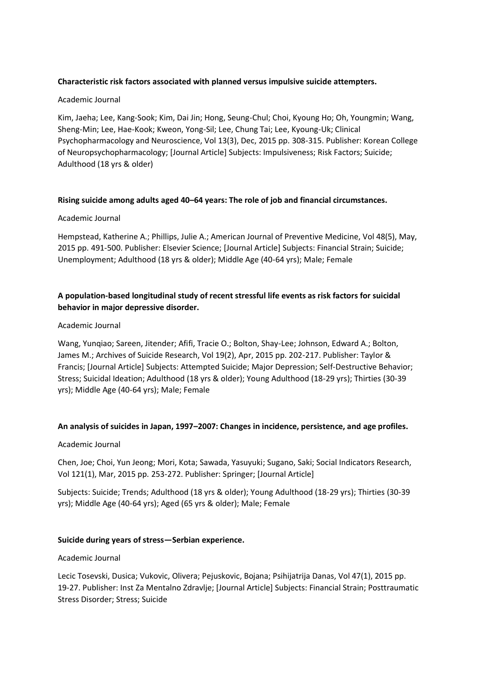## **Characteristic risk factors associated with planned versus impulsive suicide attempters.**

## Academic Journal

Kim, Jaeha; Lee, Kang-Sook; Kim, Dai Jin; Hong, Seung-Chul; Choi, Kyoung Ho; Oh, Youngmin; Wang, Sheng-Min; Lee, Hae-Kook; Kweon, Yong-Sil; Lee, Chung Tai; Lee, Kyoung-Uk; Clinical Psychopharmacology and Neuroscience, Vol 13(3), Dec, 2015 pp. 308-315. Publisher: Korean College of Neuropsychopharmacology; [Journal Article] Subjects: Impulsiveness; Risk Factors; Suicide; Adulthood (18 yrs & older)

#### **Rising suicide among adults aged 40–64 years: The role of job and financial circumstances.**

#### Academic Journal

Hempstead, Katherine A.; Phillips, Julie A.; American Journal of Preventive Medicine, Vol 48(5), May, 2015 pp. 491-500. Publisher: Elsevier Science; [Journal Article] Subjects: Financial Strain; Suicide; Unemployment; Adulthood (18 yrs & older); Middle Age (40-64 yrs); Male; Female

## **A population-based longitudinal study of recent stressful life events as risk factors for suicidal behavior in major depressive disorder.**

#### Academic Journal

Wang, Yunqiao; Sareen, Jitender; Afifi, Tracie O.; Bolton, Shay-Lee; Johnson, Edward A.; Bolton, James M.; Archives of Suicide Research, Vol 19(2), Apr, 2015 pp. 202-217. Publisher: Taylor & Francis; [Journal Article] Subjects: Attempted Suicide; Major Depression; Self-Destructive Behavior; Stress; Suicidal Ideation; Adulthood (18 yrs & older); Young Adulthood (18-29 yrs); Thirties (30-39 yrs); Middle Age (40-64 yrs); Male; Female

## **An analysis of suicides in Japan, 1997–2007: Changes in incidence, persistence, and age profiles.**

## Academic Journal

Chen, Joe; Choi, Yun Jeong; Mori, Kota; Sawada, Yasuyuki; Sugano, Saki; Social Indicators Research, Vol 121(1), Mar, 2015 pp. 253-272. Publisher: Springer; [Journal Article]

Subjects: Suicide; Trends; Adulthood (18 yrs & older); Young Adulthood (18-29 yrs); Thirties (30-39 yrs); Middle Age (40-64 yrs); Aged (65 yrs & older); Male; Female

## **Suicide during years of stress—Serbian experience.**

#### Academic Journal

Lecic Tosevski, Dusica; Vukovic, Olivera; Pejuskovic, Bojana; Psihijatrija Danas, Vol 47(1), 2015 pp. 19-27. Publisher: Inst Za Mentalno Zdravlje; [Journal Article] Subjects: Financial Strain; Posttraumatic Stress Disorder; Stress; Suicide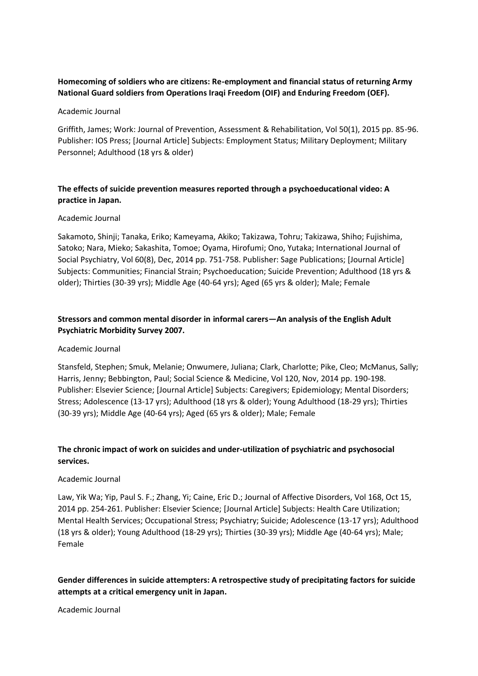# **Homecoming of soldiers who are citizens: Re-employment and financial status of returning Army National Guard soldiers from Operations Iraqi Freedom (OIF) and Enduring Freedom (OEF).**

## Academic Journal

Griffith, James; Work: Journal of Prevention, Assessment & Rehabilitation, Vol 50(1), 2015 pp. 85-96. Publisher: IOS Press; [Journal Article] Subjects: Employment Status; Military Deployment; Military Personnel; Adulthood (18 yrs & older)

# **The effects of suicide prevention measures reported through a psychoeducational video: A practice in Japan.**

## Academic Journal

Sakamoto, Shinji; Tanaka, Eriko; Kameyama, Akiko; Takizawa, Tohru; Takizawa, Shiho; Fujishima, Satoko; Nara, Mieko; Sakashita, Tomoe; Oyama, Hirofumi; Ono, Yutaka; International Journal of Social Psychiatry, Vol 60(8), Dec, 2014 pp. 751-758. Publisher: Sage Publications; [Journal Article] Subjects: Communities; Financial Strain; Psychoeducation; Suicide Prevention; Adulthood (18 yrs & older); Thirties (30-39 yrs); Middle Age (40-64 yrs); Aged (65 yrs & older); Male; Female

# **Stressors and common mental disorder in informal carers—An analysis of the English Adult Psychiatric Morbidity Survey 2007.**

## Academic Journal

Stansfeld, Stephen; Smuk, Melanie; Onwumere, Juliana; Clark, Charlotte; Pike, Cleo; McManus, Sally; Harris, Jenny; Bebbington, Paul; Social Science & Medicine, Vol 120, Nov, 2014 pp. 190-198. Publisher: Elsevier Science; [Journal Article] Subjects: Caregivers; Epidemiology; Mental Disorders; Stress; Adolescence (13-17 yrs); Adulthood (18 yrs & older); Young Adulthood (18-29 yrs); Thirties (30-39 yrs); Middle Age (40-64 yrs); Aged (65 yrs & older); Male; Female

# **The chronic impact of work on suicides and under-utilization of psychiatric and psychosocial services.**

## Academic Journal

Law, Yik Wa; Yip, Paul S. F.; Zhang, Yi; Caine, Eric D.; Journal of Affective Disorders, Vol 168, Oct 15, 2014 pp. 254-261. Publisher: Elsevier Science; [Journal Article] Subjects: Health Care Utilization; Mental Health Services; Occupational Stress; Psychiatry; Suicide; Adolescence (13-17 yrs); Adulthood (18 yrs & older); Young Adulthood (18-29 yrs); Thirties (30-39 yrs); Middle Age (40-64 yrs); Male; Female

# **Gender differences in suicide attempters: A retrospective study of precipitating factors for suicide attempts at a critical emergency unit in Japan.**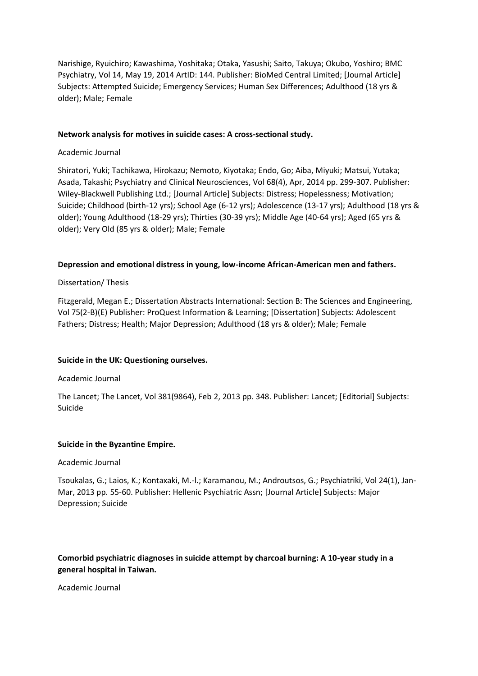Narishige, Ryuichiro; Kawashima, Yoshitaka; Otaka, Yasushi; Saito, Takuya; Okubo, Yoshiro; BMC Psychiatry, Vol 14, May 19, 2014 ArtID: 144. Publisher: BioMed Central Limited; [Journal Article] Subjects: Attempted Suicide; Emergency Services; Human Sex Differences; Adulthood (18 yrs & older); Male; Female

## **Network analysis for motives in suicide cases: A cross‐sectional study.**

## Academic Journal

Shiratori, Yuki; Tachikawa, Hirokazu; Nemoto, Kiyotaka; Endo, Go; Aiba, Miyuki; Matsui, Yutaka; Asada, Takashi; Psychiatry and Clinical Neurosciences, Vol 68(4), Apr, 2014 pp. 299-307. Publisher: Wiley-Blackwell Publishing Ltd.; [Journal Article] Subjects: Distress; Hopelessness; Motivation; Suicide; Childhood (birth-12 yrs); School Age (6-12 yrs); Adolescence (13-17 yrs); Adulthood (18 yrs & older); Young Adulthood (18-29 yrs); Thirties (30-39 yrs); Middle Age (40-64 yrs); Aged (65 yrs & older); Very Old (85 yrs & older); Male; Female

## **Depression and emotional distress in young, low-income African-American men and fathers.**

## Dissertation/ Thesis

Fitzgerald, Megan E.; Dissertation Abstracts International: Section B: The Sciences and Engineering, Vol 75(2-B)(E) Publisher: ProQuest Information & Learning; [Dissertation] Subjects: Adolescent Fathers; Distress; Health; Major Depression; Adulthood (18 yrs & older); Male; Female

## **Suicide in the UK: Questioning ourselves.**

## Academic Journal

The Lancet; The Lancet, Vol 381(9864), Feb 2, 2013 pp. 348. Publisher: Lancet; [Editorial] Subjects: Suicide

## **Suicide in the Byzantine Empire.**

## Academic Journal

Tsoukalas, G.; Laios, K.; Kontaxaki, M.-l.; Karamanou, M.; Androutsos, G.; Psychiatriki, Vol 24(1), Jan-Mar, 2013 pp. 55-60. Publisher: Hellenic Psychiatric Assn; [Journal Article] Subjects: Major Depression; Suicide

## **Comorbid psychiatric diagnoses in suicide attempt by charcoal burning: A 10-year study in a general hospital in Taiwan.**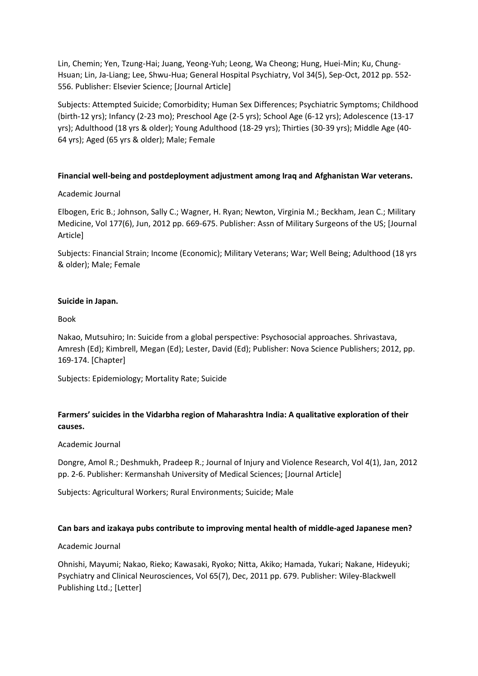Lin, Chemin; Yen, Tzung-Hai; Juang, Yeong-Yuh; Leong, Wa Cheong; Hung, Huei-Min; Ku, Chung-Hsuan; Lin, Ja-Liang; Lee, Shwu-Hua; General Hospital Psychiatry, Vol 34(5), Sep-Oct, 2012 pp. 552- 556. Publisher: Elsevier Science; [Journal Article]

Subjects: Attempted Suicide; Comorbidity; Human Sex Differences; Psychiatric Symptoms; Childhood (birth-12 yrs); Infancy (2-23 mo); Preschool Age (2-5 yrs); School Age (6-12 yrs); Adolescence (13-17 yrs); Adulthood (18 yrs & older); Young Adulthood (18-29 yrs); Thirties (30-39 yrs); Middle Age (40- 64 yrs); Aged (65 yrs & older); Male; Female

## **Financial well-being and postdeployment adjustment among Iraq and Afghanistan War veterans.**

## Academic Journal

Elbogen, Eric B.; Johnson, Sally C.; Wagner, H. Ryan; Newton, Virginia M.; Beckham, Jean C.; Military Medicine, Vol 177(6), Jun, 2012 pp. 669-675. Publisher: Assn of Military Surgeons of the US; [Journal Article]

Subjects: Financial Strain; Income (Economic); Military Veterans; War; Well Being; Adulthood (18 yrs & older); Male; Female

## **Suicide in Japan.**

Book

Nakao, Mutsuhiro; In: Suicide from a global perspective: Psychosocial approaches. Shrivastava, Amresh (Ed); Kimbrell, Megan (Ed); Lester, David (Ed); Publisher: Nova Science Publishers; 2012, pp. 169-174. [Chapter]

Subjects: Epidemiology; Mortality Rate; Suicide

# **Farmers' suicides in the Vidarbha region of Maharashtra India: A qualitative exploration of their causes.**

## Academic Journal

Dongre, Amol R.; Deshmukh, Pradeep R.; Journal of Injury and Violence Research, Vol 4(1), Jan, 2012 pp. 2-6. Publisher: Kermanshah University of Medical Sciences; [Journal Article]

Subjects: Agricultural Workers; Rural Environments; Suicide; Male

## **Can bars and izakaya pubs contribute to improving mental health of middle‐aged Japanese men?**

## Academic Journal

Ohnishi, Mayumi; Nakao, Rieko; Kawasaki, Ryoko; Nitta, Akiko; Hamada, Yukari; Nakane, Hideyuki; Psychiatry and Clinical Neurosciences, Vol 65(7), Dec, 2011 pp. 679. Publisher: Wiley-Blackwell Publishing Ltd.; [Letter]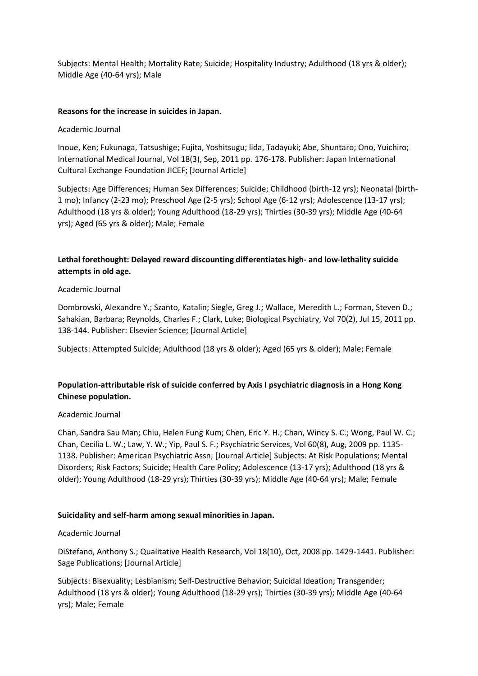Subjects: Mental Health; Mortality Rate; Suicide; Hospitality Industry; Adulthood (18 yrs & older); Middle Age (40-64 yrs); Male

## **Reasons for the increase in suicides in Japan.**

## Academic Journal

Inoue, Ken; Fukunaga, Tatsushige; Fujita, Yoshitsugu; lida, Tadayuki; Abe, Shuntaro; Ono, Yuichiro; International Medical Journal, Vol 18(3), Sep, 2011 pp. 176-178. Publisher: Japan International Cultural Exchange Foundation JICEF; [Journal Article]

Subjects: Age Differences; Human Sex Differences; Suicide; Childhood (birth-12 yrs); Neonatal (birth-1 mo); Infancy (2-23 mo); Preschool Age (2-5 yrs); School Age (6-12 yrs); Adolescence (13-17 yrs); Adulthood (18 yrs & older); Young Adulthood (18-29 yrs); Thirties (30-39 yrs); Middle Age (40-64 yrs); Aged (65 yrs & older); Male; Female

# **Lethal forethought: Delayed reward discounting differentiates high- and low-lethality suicide attempts in old age.**

## Academic Journal

Dombrovski, Alexandre Y.; Szanto, Katalin; Siegle, Greg J.; Wallace, Meredith L.; Forman, Steven D.; Sahakian, Barbara; Reynolds, Charles F.; Clark, Luke; Biological Psychiatry, Vol 70(2), Jul 15, 2011 pp. 138-144. Publisher: Elsevier Science; [Journal Article]

Subjects: Attempted Suicide; Adulthood (18 yrs & older); Aged (65 yrs & older); Male; Female

# **Population-attributable risk of suicide conferred by Axis I psychiatric diagnosis in a Hong Kong Chinese population.**

## Academic Journal

Chan, Sandra Sau Man; Chiu, Helen Fung Kum; Chen, Eric Y. H.; Chan, Wincy S. C.; Wong, Paul W. C.; Chan, Cecilia L. W.; Law, Y. W.; Yip, Paul S. F.; Psychiatric Services, Vol 60(8), Aug, 2009 pp. 1135- 1138. Publisher: American Psychiatric Assn; [Journal Article] Subjects: At Risk Populations; Mental Disorders; Risk Factors; Suicide; Health Care Policy; Adolescence (13-17 yrs); Adulthood (18 yrs & older); Young Adulthood (18-29 yrs); Thirties (30-39 yrs); Middle Age (40-64 yrs); Male; Female

## **Suicidality and self-harm among sexual minorities in Japan.**

## Academic Journal

DiStefano, Anthony S.; Qualitative Health Research, Vol 18(10), Oct, 2008 pp. 1429-1441. Publisher: Sage Publications; [Journal Article]

Subjects: Bisexuality; Lesbianism; Self-Destructive Behavior; Suicidal Ideation; Transgender; Adulthood (18 yrs & older); Young Adulthood (18-29 yrs); Thirties (30-39 yrs); Middle Age (40-64 yrs); Male; Female